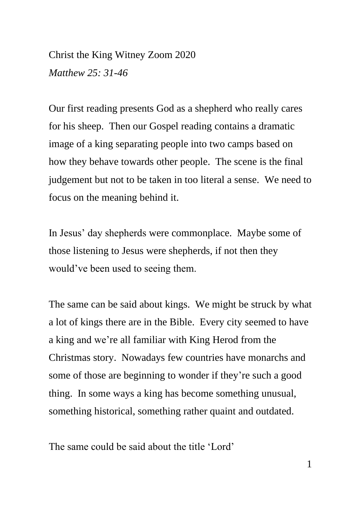Christ the King Witney Zoom 2020 *Matthew 25: 31-46*

Our first reading presents God as a shepherd who really cares for his sheep. Then our Gospel reading contains a dramatic image of a king separating people into two camps based on how they behave towards other people. The scene is the final judgement but not to be taken in too literal a sense. We need to focus on the meaning behind it.

In Jesus' day shepherds were commonplace. Maybe some of those listening to Jesus were shepherds, if not then they would've been used to seeing them.

The same can be said about kings. We might be struck by what a lot of kings there are in the Bible. Every city seemed to have a king and we're all familiar with King Herod from the Christmas story. Nowadays few countries have monarchs and some of those are beginning to wonder if they're such a good thing. In some ways a king has become something unusual, something historical, something rather quaint and outdated.

The same could be said about the title 'Lord'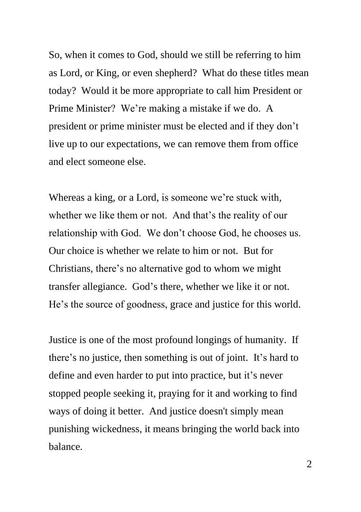So, when it comes to God, should we still be referring to him as Lord, or King, or even shepherd? What do these titles mean today? Would it be more appropriate to call him President or Prime Minister? We're making a mistake if we do. A president or prime minister must be elected and if they don't live up to our expectations, we can remove them from office and elect someone else.

Whereas a king, or a Lord, is someone we're stuck with, whether we like them or not. And that's the reality of our relationship with God. We don't choose God, he chooses us. Our choice is whether we relate to him or not. But for Christians, there's no alternative god to whom we might transfer allegiance. God's there, whether we like it or not. He's the source of goodness, grace and justice for this world.

Justice is one of the most profound longings of humanity. If there's no justice, then something is out of joint. It's hard to define and even harder to put into practice, but it's never stopped people seeking it, praying for it and working to find ways of doing it better. And justice doesn't simply mean punishing wickedness, it means bringing the world back into balance.

2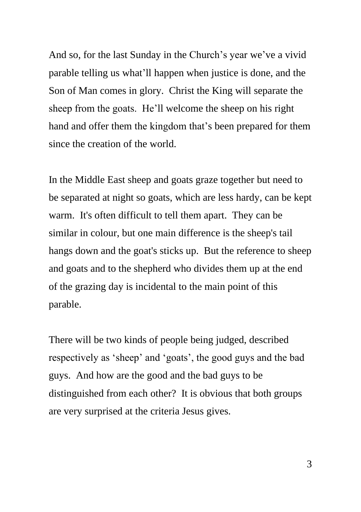And so, for the last Sunday in the Church's year we've a vivid parable telling us what'll happen when justice is done, and the Son of Man comes in glory. Christ the King will separate the sheep from the goats. He'll welcome the sheep on his right hand and offer them the kingdom that's been prepared for them since the creation of the world.

In the Middle East sheep and goats graze together but need to be separated at night so goats, which are less hardy, can be kept warm. It's often difficult to tell them apart. They can be similar in colour, but one main difference is the sheep's tail hangs down and the goat's sticks up. But the reference to sheep and goats and to the shepherd who divides them up at the end of the grazing day is incidental to the main point of this parable.

There will be two kinds of people being judged, described respectively as 'sheep' and 'goats', the good guys and the bad guys. And how are the good and the bad guys to be distinguished from each other? It is obvious that both groups are very surprised at the criteria Jesus gives.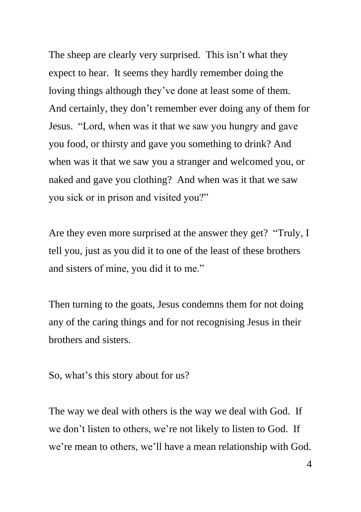The sheep are clearly very surprised. This isn't what they expect to hear. It seems they hardly remember doing the loving things although they've done at least some of them. And certainly, they don't remember ever doing any of them for Jesus. "Lord, when was it that we saw you hungry and gave you food, or thirsty and gave you something to drink? And when was it that we saw you a stranger and welcomed you, or naked and gave you clothing? And when was it that we saw you sick or in prison and visited you?"

Are they even more surprised at the answer they get? "Truly, I tell you, just as you did it to one of the least of these brothers and sisters of mine, you did it to me."

Then turning to the goats, Jesus condemns them for not doing any of the caring things and for not recognising Jesus in their brothers and sisters.

So, what's this story about for us?

The way we deal with others is the way we deal with God. If we don't listen to others, we're not likely to listen to God. If we're mean to others, we'll have a mean relationship with God.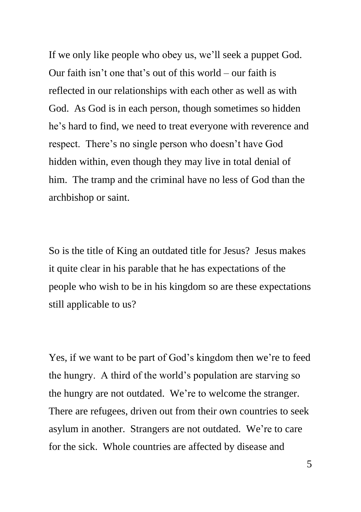If we only like people who obey us, we'll seek a puppet God. Our faith isn't one that's out of this world – our faith is reflected in our relationships with each other as well as with God. As God is in each person, though sometimes so hidden he's hard to find, we need to treat everyone with reverence and respect. There's no single person who doesn't have God hidden within, even though they may live in total denial of him. The tramp and the criminal have no less of God than the archbishop or saint.

So is the title of King an outdated title for Jesus? Jesus makes it quite clear in his parable that he has expectations of the people who wish to be in his kingdom so are these expectations still applicable to us?

Yes, if we want to be part of God's kingdom then we're to feed the hungry. A third of the world's population are starving so the hungry are not outdated. We're to welcome the stranger. There are refugees, driven out from their own countries to seek asylum in another. Strangers are not outdated. We're to care for the sick. Whole countries are affected by disease and

5